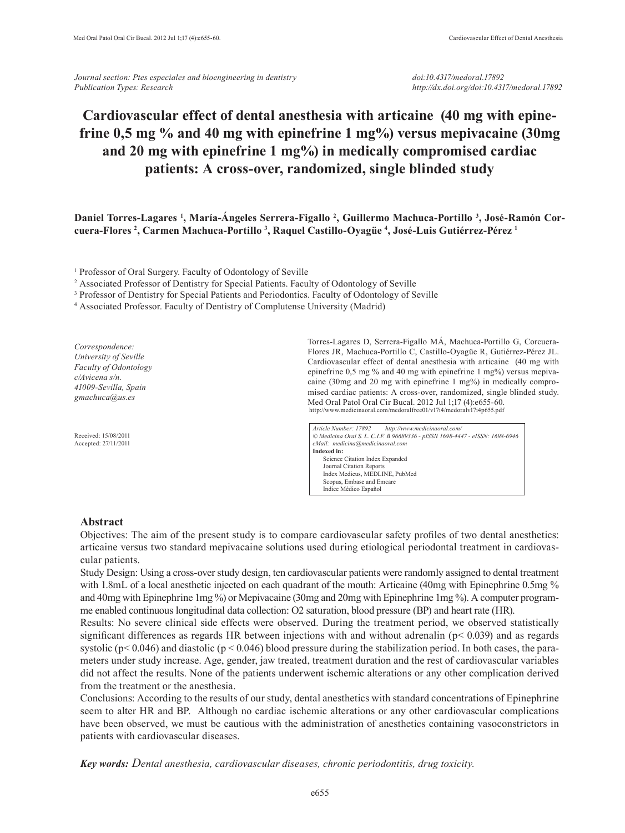*Journal section: Ptes especiales and bioengineering in dentistry Publication Types: Research*

# **Cardiovascular effect of dental anesthesia with articaine (40 mg with epinefrine 0,5 mg % and 40 mg with epinefrine 1 mg%) versus mepivacaine (30mg and 20 mg with epinefrine 1 mg%) in medically compromised cardiac patients: A cross-over, randomized, single blinded study**

**Daniel Torres-Lagares 1 , María-Ángeles Serrera-Figallo 2 , Guillermo Machuca-Portillo 3 , José-Ramón Corcuera-Flores 2 , Carmen Machuca-Portillo 3 , Raquel Castillo-Oyagüe 4 , José-Luis Gutiérrez-Pérez 1**

<sup>1</sup> Professor of Oral Surgery. Faculty of Odontology of Seville

<sup>2</sup> Associated Professor of Dentistry for Special Patients. Faculty of Odontology of Seville

<sup>3</sup> Professor of Dentistry for Special Patients and Periodontics. Faculty of Odontology of Seville

4 Associated Professor. Faculty of Dentistry of Complutense University (Madrid)

*Correspondence: University of Seville Faculty of Odontology c/Avicena s/n. 41009-Sevilla, Spain gmachuca@us.es*

Received: 15/08/2011 Accepted: 27/11/2011

Torres-Lagares D, Serrera-Figallo MÁ, Machuca-Portillo G, Corcuera-Flores JR, Machuca-Portillo C, Castillo-Oyagüe R, Gutiérrez-Pérez JL. Cardiovascular effect of dental anesthesia with articaine (40 mg with epinefrine 0,5 mg % and 40 mg with epinefrine 1 mg%) versus mepivacaine (30mg and 20 mg with epinefrine 1 mg%) in medically compromised cardiac patients: A cross-over, randomized, single blinded study. Med Oral Patol Oral Cir Bucal. 2012 Jul 1;17 (4):e655-60. http://www.medicinaoral.com/medoralfree01/v17i4/medoralv17i4p655.pdf

*Article Number: 17892 http://www.medicinaoral.com/ © Medicina Oral S. L. C.I.F. B 96689336 - pISSN 1698-4447 - eISSN: 1698-6946 eMail: medicina@medicinaoral.com*  **Indexed in:**  Science Citation Index Expanded Journal Citation Reports Index Medicus, MEDLINE, PubMed Scopus, Embase and Emcare Indice Médico Español

#### **Abstract**

Objectives: The aim of the present study is to compare cardiovascular safety profiles of two dental anesthetics: articaine versus two standard mepivacaine solutions used during etiological periodontal treatment in cardiovascular patients.

Study Design: Using a cross-over study design, ten cardiovascular patients were randomly assigned to dental treatment with 1.8mL of a local anesthetic injected on each quadrant of the mouth: Articaine (40mg with Epinephrine 0.5mg %) and 40mg with Epinephrine 1mg %) or Mepivacaine (30mg and 20mg with Epinephrine 1mg %). A computer programme enabled continuous longitudinal data collection: O2 saturation, blood pressure (BP) and heart rate (HR).

Results: No severe clinical side effects were observed. During the treatment period, we observed statistically significant differences as regards HR between injections with and without adrenalin (p< 0.039) and as regards systolic ( $p$ < 0.046) and diastolic ( $p$  < 0.046) blood pressure during the stabilization period. In both cases, the parameters under study increase. Age, gender, jaw treated, treatment duration and the rest of cardiovascular variables did not affect the results. None of the patients underwent ischemic alterations or any other complication derived from the treatment or the anesthesia.

Conclusions: According to the results of our study, dental anesthetics with standard concentrations of Epinephrine seem to alter HR and BP. Although no cardiac ischemic alterations or any other cardiovascular complications have been observed, we must be cautious with the administration of anesthetics containing vasoconstrictors in patients with cardiovascular diseases.

*Key words: Dental anesthesia, cardiovascular diseases, chronic periodontitis, drug toxicity.*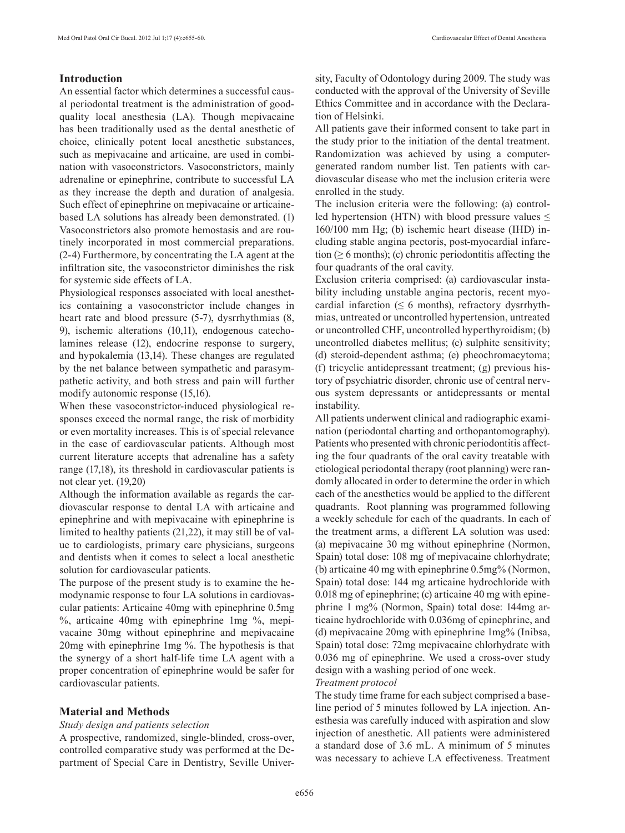# **Introduction**

An essential factor which determines a successful causal periodontal treatment is the administration of goodquality local anesthesia (LA). Though mepivacaine has been traditionally used as the dental anesthetic of choice, clinically potent local anesthetic substances, such as mepivacaine and articaine, are used in combination with vasoconstrictors. Vasoconstrictors, mainly adrenaline or epinephrine, contribute to successful LA as they increase the depth and duration of analgesia. Such effect of epinephrine on mepivacaine or articainebased LA solutions has already been demonstrated. (1) Vasoconstrictors also promote hemostasis and are routinely incorporated in most commercial preparations. (2-4) Furthermore, by concentrating the LA agent at the infiltration site, the vasoconstrictor diminishes the risk for systemic side effects of LA.

Physiological responses associated with local anesthetics containing a vasoconstrictor include changes in heart rate and blood pressure (5-7), dysrrhythmias (8, 9), ischemic alterations (10,11), endogenous catecholamines release (12), endocrine response to surgery, and hypokalemia (13,14). These changes are regulated by the net balance between sympathetic and parasympathetic activity, and both stress and pain will further modify autonomic response (15,16).

When these vasoconstrictor-induced physiological responses exceed the normal range, the risk of morbidity or even mortality increases. This is of special relevance in the case of cardiovascular patients. Although most current literature accepts that adrenaline has a safety range (17,18), its threshold in cardiovascular patients is not clear yet. (19,20)

Although the information available as regards the cardiovascular response to dental LA with articaine and epinephrine and with mepivacaine with epinephrine is limited to healthy patients (21,22), it may still be of value to cardiologists, primary care physicians, surgeons and dentists when it comes to select a local anesthetic solution for cardiovascular patients.

The purpose of the present study is to examine the hemodynamic response to four LA solutions in cardiovascular patients: Articaine 40mg with epinephrine 0.5mg %, articaine 40mg with epinephrine 1mg %, mepivacaine 30mg without epinephrine and mepivacaine 20mg with epinephrine 1mg %. The hypothesis is that the synergy of a short half-life time LA agent with a proper concentration of epinephrine would be safer for cardiovascular patients.

#### **Material and Methods**

#### *Study design and patients selection*

A prospective, randomized, single-blinded, cross-over, controlled comparative study was performed at the Department of Special Care in Dentistry, Seville University, Faculty of Odontology during 2009. The study was conducted with the approval of the University of Seville Ethics Committee and in accordance with the Declaration of Helsinki.

All patients gave their informed consent to take part in the study prior to the initiation of the dental treatment. Randomization was achieved by using a computergenerated random number list. Ten patients with cardiovascular disease who met the inclusion criteria were enrolled in the study.

The inclusion criteria were the following: (a) controlled hypertension (HTN) with blood pressure values  $\leq$ 160/100 mm Hg; (b) ischemic heart disease (IHD) including stable angina pectoris, post-myocardial infarction ( $\geq 6$  months); (c) chronic periodontitis affecting the four quadrants of the oral cavity.

Exclusion criteria comprised: (a) cardiovascular instability including unstable angina pectoris, recent myocardial infarction ( $\leq 6$  months), refractory dysrrhythmias, untreated or uncontrolled hypertension, untreated or uncontrolled CHF, uncontrolled hyperthyroidism; (b) uncontrolled diabetes mellitus; (c) sulphite sensitivity; (d) steroid-dependent asthma; (e) pheochromacytoma; (f) tricyclic antidepressant treatment; (g) previous history of psychiatric disorder, chronic use of central nervous system depressants or antidepressants or mental instability.

All patients underwent clinical and radiographic examination (periodontal charting and orthopantomography). Patients who presented with chronic periodontitis affecting the four quadrants of the oral cavity treatable with etiological periodontal therapy (root planning) were randomly allocated in order to determine the order in which each of the anesthetics would be applied to the different quadrants. Root planning was programmed following a weekly schedule for each of the quadrants. In each of the treatment arms, a different LA solution was used: (a) mepivacaine 30 mg without epinephrine (Normon, Spain) total dose: 108 mg of mepivacaine chlorhydrate; (b) articaine 40 mg with epinephrine 0.5mg% (Normon, Spain) total dose: 144 mg articaine hydrochloride with 0.018 mg of epinephrine; (c) articaine 40 mg with epinephrine 1 mg% (Normon, Spain) total dose: 144mg articaine hydrochloride with 0.036mg of epinephrine, and (d) mepivacaine 20mg with epinephrine 1mg% (Inibsa, Spain) total dose: 72mg mepivacaine chlorhydrate with 0.036 mg of epinephrine. We used a cross-over study design with a washing period of one week.

#### *Treatment protocol*

The study time frame for each subject comprised a baseline period of 5 minutes followed by LA injection. Anesthesia was carefully induced with aspiration and slow injection of anesthetic. All patients were administered a standard dose of 3.6 mL. A minimum of 5 minutes was necessary to achieve LA effectiveness. Treatment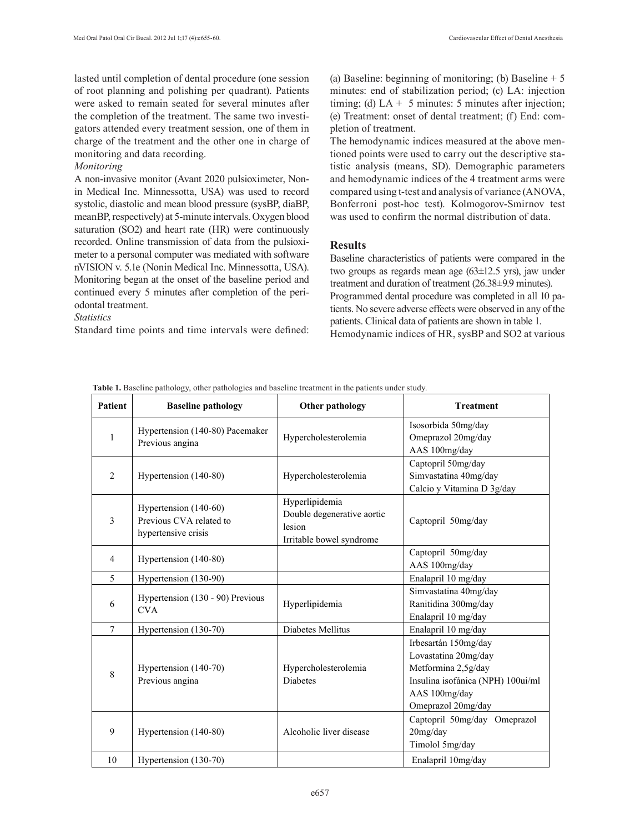lasted until completion of dental procedure (one session of root planning and polishing per quadrant). Patients were asked to remain seated for several minutes after the completion of the treatment. The same two investigators attended every treatment session, one of them in charge of the treatment and the other one in charge of monitoring and data recording.

### *Monitoring*

A non-invasive monitor (Avant 2020 pulsioximeter, Nonin Medical Inc. Minnessotta, USA) was used to record systolic, diastolic and mean blood pressure (sysBP, diaBP, meanBP, respectively) at 5-minute intervals. Oxygen blood saturation (SO2) and heart rate (HR) were continuously recorded. Online transmission of data from the pulsioximeter to a personal computer was mediated with software nVISION v. 5.1e (Nonin Medical Inc. Minnessotta, USA). Monitoring began at the onset of the baseline period and continued every 5 minutes after completion of the periodontal treatment.

# *Statistics*

Standard time points and time intervals were defined:

(a) Baseline: beginning of monitoring; (b) Baseline  $+5$ minutes: end of stabilization period; (c) LA: injection timing; (d)  $LA + 5$  minutes: 5 minutes after injection; (e) Treatment: onset of dental treatment; (f) End: completion of treatment.

The hemodynamic indices measured at the above mentioned points were used to carry out the descriptive statistic analysis (means, SD). Demographic parameters and hemodynamic indices of the 4 treatment arms were compared using t-test and analysis of variance (ANOVA, Bonferroni post-hoc test). Kolmogorov-Smirnov test was used to confirm the normal distribution of data.

# **Results**

Baseline characteristics of patients were compared in the two groups as regards mean age (63±12.5 yrs), jaw under treatment and duration of treatment (26.38±9.9 minutes). Programmed dental procedure was completed in all 10 patients. No severe adverse effects were observed in any of the patients. Clinical data of patients are shown in table 1. Hemodynamic indices of HR, sysBP and SO2 at various

| Patient        | <b>Baseline pathology</b>                                               | Other pathology                                                                    | <b>Treatment</b>                                                                                                                                |
|----------------|-------------------------------------------------------------------------|------------------------------------------------------------------------------------|-------------------------------------------------------------------------------------------------------------------------------------------------|
| $\mathbf{1}$   | Hypertension (140-80) Pacemaker<br>Previous angina                      | Hypercholesterolemia                                                               | Isosorbida 50mg/day<br>Omeprazol 20mg/day<br>AAS 100mg/day                                                                                      |
| $\overline{2}$ | Hypertension (140-80)                                                   | Hypercholesterolemia                                                               | Captopril 50mg/day<br>Simvastatina 40mg/day<br>Calcio y Vitamina D 3g/day                                                                       |
| $\overline{3}$ | Hypertension (140-60)<br>Previous CVA related to<br>hypertensive crisis | Hyperlipidemia<br>Double degenerative aortic<br>lesion<br>Irritable bowel syndrome | Captopril 50mg/day                                                                                                                              |
| $\overline{4}$ | Hypertension (140-80)                                                   |                                                                                    | Captopril 50mg/day<br>AAS 100mg/day                                                                                                             |
| 5              | Hypertension (130-90)                                                   |                                                                                    | Enalapril 10 mg/day                                                                                                                             |
| 6              | Hypertension (130 - 90) Previous<br><b>CVA</b>                          | Hyperlipidemia                                                                     | Simvastatina 40mg/day<br>Ranitidina 300mg/day<br>Enalapril 10 mg/day                                                                            |
| $\overline{7}$ | Hypertension (130-70)                                                   | Diabetes Mellitus                                                                  | Enalapril 10 mg/day                                                                                                                             |
| 8              | Hypertension (140-70)<br>Previous angina                                | Hypercholesterolemia<br><b>Diabetes</b>                                            | Irbesartán 150mg/day<br>Lovastatina 20mg/day<br>Metformina 2,5g/day<br>Insulina isofánica (NPH) 100ui/ml<br>AAS 100mg/day<br>Omeprazol 20mg/day |
| 9              | Hypertension (140-80)                                                   | Alcoholic liver disease                                                            | Captopril 50mg/day Omeprazol<br>20mg/day<br>Timolol 5mg/day                                                                                     |
| 10             | Hypertension (130-70)                                                   |                                                                                    | Enalapril 10mg/day                                                                                                                              |

**Table 1.** Baseline pathology, other pathologies and baseline treatment in the patients under study.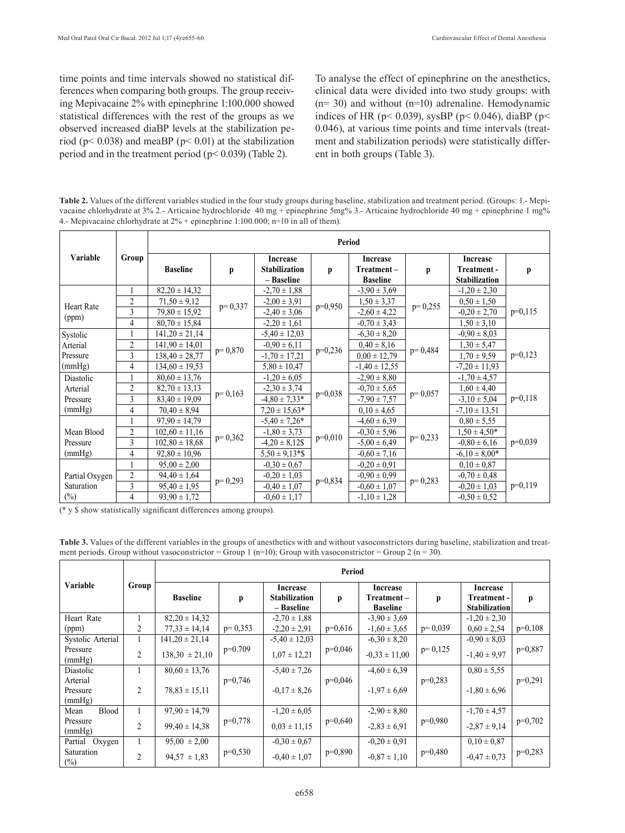time points and time intervals showed no statistical differences when comparing both groups. The group receiving Mepivacaine 2% with epinephrine 1:100,000 showed statistical differences with the rest of the groups as we observed increased diaBP levels at the stabilization period ( $p$ < 0.038) and meaBP ( $p$ < 0.01) at the stabilization period and in the treatment period (p< 0.039) (Table 2).

To analyse the effect of epinephrine on the anesthetics, clinical data were divided into two study groups: with  $(n= 30)$  and without  $(n=10)$  adrenaline. Hemodynamic indices of HR ( $p$ < 0.039), sysBP ( $p$ < 0.046), diaBP ( $p$ < 0.046), at various time points and time intervals (treatment and stabilization periods) were statistically different in both groups (Table 3).

**Table 2.** Values of the different variables studied in the four study groups during baseline, stabilization and treatment period. (Groups: 1.- Mepivacaine chlorhydrate at 3% 2.- Articaine hydrochloride 40 mg + epinephrine 5mg% 3.- Articaine hydrochloride 40 mg + epinephrine 1 mg% 4.- Mepivacaine chlorhydrate at 2% + epinephrine 1:100.000; n=10 in all of them).

|                   | Group          | Period             |           |                                                       |              |                                                  |           |                                                       |           |
|-------------------|----------------|--------------------|-----------|-------------------------------------------------------|--------------|--------------------------------------------------|-----------|-------------------------------------------------------|-----------|
| <b>Variable</b>   |                | <b>Baseline</b>    | p         | <b>Increase</b><br><b>Stabilization</b><br>– Baseline | $\mathbf{p}$ | <b>Increase</b><br>Treatment-<br><b>Baseline</b> | p         | <b>Increase</b><br>Treatment-<br><b>Stabilization</b> | p         |
|                   | 1              | $82,20 \pm 14,32$  |           | $-2,70 \pm 1,88$                                      |              | $-3,90 \pm 3,69$                                 |           | $-1,20 \pm 2,30$                                      |           |
| <b>Heart Rate</b> | $\overline{2}$ | $71,50 \pm 9,12$   | $p=0,337$ | $-2,00 \pm 3,91$                                      | $p=0,950$    | $1,50 \pm 3,37$                                  | $p=0,255$ | $0.50 \pm 1.50$                                       |           |
| (ppm)             | 3              | $79.80 \pm 15.92$  |           | $-2.40 \pm 3.06$                                      |              | $-2,60 \pm 4,22$                                 |           | $-0.20 \pm 2.70$                                      | $p=0,115$ |
|                   | 4              | $80,70 \pm 15,84$  |           | $-2,20 \pm 1,61$                                      |              | $-0.70 \pm 3.43$                                 |           | $1,50 \pm 3,10$                                       |           |
| Systolic          |                | $141,20 \pm 21,14$ |           | $-5,40 \pm 12,03$                                     |              | $-6,30 \pm 8,20$                                 |           | $-0.90 \pm 8.03$                                      |           |
| Arterial          | 2              | $141,90 \pm 14,01$ | $p=0,870$ | $-0.90 \pm 6.11$                                      | $p=0,236$    | $0,40 \pm 8,16$                                  | $p=0,484$ | $1,30 \pm 5,47$                                       |           |
| Pressure          | 3              | $138,40 \pm 28,77$ |           | $-1,70 \pm 17,21$                                     |              | $0,00 \pm 12,79$                                 |           | $1,70 \pm 9,59$                                       | $p=0,123$ |
| (mmHg)            | 4              | $134,60 \pm 19,53$ |           | $5.80 \pm 10.47$                                      |              | $-1,40 \pm 12,55$                                |           | $-7.20 \pm 11.93$                                     |           |
| Diastolic         |                | $80,60 \pm 13,76$  |           | $-1,20 \pm 6,05$                                      |              | $-2,90 \pm 8,80$                                 |           | $-1,70 \pm 4,57$                                      |           |
| Arterial          | $\overline{2}$ | $82,70 \pm 13,13$  | $p=0,163$ | $-2,30 \pm 3,74$                                      | $p=0,038$    | $-0.70 \pm 5.65$                                 | $p=0,057$ | $1,60 \pm 4,40$                                       |           |
| Pressure          | 3              | $83,40 \pm 19,09$  |           | $-4.80 \pm 7.33*$                                     |              | $-7.90 \pm 7.57$                                 |           | $-3,10 \pm 5,04$                                      | $p=0,118$ |
| (mmHg)            | 4              | $70,40 \pm 8,94$   |           | $7,20 \pm 15,63*$                                     |              | $0.10 \pm 4.65$                                  |           | $-7,10 \pm 13,51$                                     |           |
|                   |                | $97,90 \pm 14,79$  |           | $-5,40 \pm 7,26*$                                     |              | $-4,60 \pm 6,39$                                 |           | $0.80 \pm 5.55$                                       |           |
| Mean Blood        | $\overline{2}$ | $102,60 \pm 11,16$ | $p=0,362$ | $-1,80 \pm 3,73$                                      | $p=0,010$    | $-0,30 \pm 5,96$                                 | $p=0,233$ | $1,50 \pm 4,50^*$                                     |           |
| Pressure          | 3              | $102,80 \pm 18,68$ |           | $-4,20 \pm 8,12$ \$                                   |              | $-5.00 \pm 6.49$                                 |           | $-0.80 \pm 6.16$                                      | $p=0,039$ |
| (mmHg)            | 4              | $92,80 \pm 10,96$  |           | $5,50 \pm 9,13*$ \$                                   |              | $-0.60 \pm 7.16$                                 |           | $-6,10 \pm 8,00*$                                     |           |
|                   |                | $95,00 \pm 2,00$   |           | $-0.30 \pm 0.67$                                      |              | $-0.20 \pm 0.91$                                 |           | $0.10 \pm 0.87$                                       |           |
| Partial Oxygen    | $\overline{2}$ | $94,40 \pm 1,64$   | $p=0,293$ | $-0,20 \pm 1,03$                                      | $p=0,834$    | $-0.90 \pm 0.99$                                 | $p=0,283$ | $-0,70 \pm 0,48$                                      |           |
| Saturation        | 3              | $95.40 \pm 1.95$   |           | $-0.40 \pm 1.07$                                      |              | $-0.60 \pm 1.07$                                 |           | $-0.20 \pm 1.03$                                      | $p=0,119$ |
| $(\%)$            | 4              | $93,90 \pm 1,72$   |           | $-0.60 \pm 1.17$                                      |              | $-1,10 \pm 1,28$                                 |           | $-0.50 \pm 0.52$                                      |           |

(\* y \$ show statistically significant differences among groups).

Table 3. Values of the different variables in the groups of anesthetics with and without vasoconstrictors during baseline, stabilization and treatment periods. Group without vasoconstrictor = Group 1 (n=10); Group with vasoconstrictor = Group 2 (n = 30).

|                                |                | Period             |           |                                                |           |                                            |           |                                                 |           |
|--------------------------------|----------------|--------------------|-----------|------------------------------------------------|-----------|--------------------------------------------|-----------|-------------------------------------------------|-----------|
| <b>Variable</b>                | Group          | <b>Baseline</b>    | p         | Increase<br><b>Stabilization</b><br>– Baseline | p         | Increase<br>Treatment –<br><b>Baseline</b> | p         | Increase<br>Treatment -<br><b>Stabilization</b> | p         |
| Heart Rate                     |                | $82,20 \pm 14,32$  |           | $-2,70 \pm 1,88$                               |           | $-3.90 \pm 3.69$                           |           | $-1,20 \pm 2,30$                                |           |
| (ppm)                          | 2              | $77,33 \pm 14,14$  | $p=0,353$ | $-2.20 \pm 2.91$                               | $p=0.616$ | $-1.60 \pm 3.65$                           | $p=0,039$ | $0.60 \pm 2.54$                                 | $p=0,108$ |
| Systolic Arterial              | л.             | $141,20 \pm 21,14$ |           | $-5.40 \pm 12.03$                              |           | $-6.30 \pm 8.20$                           |           | $-0.90 \pm 8.03$                                |           |
| Pressure<br>(mmHg)             | $\overline{c}$ | $138.30 \pm 21.10$ | $p=0.709$ | $1.07 \pm 12.21$                               | $p=0,046$ | $-0.33 \pm 11.00$                          | $p=0,125$ | $-1.40 \pm 9.97$                                | $p=0,887$ |
| Diastolic                      |                | $80,60 \pm 13,76$  |           | $-5,40 \pm 7,26$                               |           | $-4,60 \pm 6,39$                           |           | $0,80 \pm 5,55$                                 |           |
| Arterial<br>Pressure<br>(mmHg) | $\overline{c}$ | $78.83 \pm 15.11$  | $p=0,746$ | $-0.17 \pm 8.26$                               | $p=0,046$ | $-1.97 \pm 6.69$                           | $p=0,283$ | $-1,80 \pm 6,96$                                | $p=0,291$ |
| Blood<br>Mean                  |                | $97.90 \pm 14.79$  |           | $-1,20 \pm 6,05$                               |           | $-2.90 \pm 8.80$                           |           | $-1,70 \pm 4,57$                                |           |
| Pressure<br>(mmHg)             | $\overline{c}$ | $99,40 \pm 14,38$  | $p=0,778$ | $0.03 \pm 11.15$                               | $p=0,640$ | $-2,83 \pm 6,91$                           | $p=0,980$ | $-2.87 \pm 9.14$                                | $p=0,702$ |
| Partial<br>Oxygen              |                | $95,00 \pm 2,00$   |           | $-0.30 \pm 0.67$                               |           | $-0.20 \pm 0.91$                           |           | $0.10 \pm 0.87$                                 |           |
| Saturation<br>$(\%)$           | $\overline{c}$ | $94.57 \pm 1.83$   | $p=0,530$ | $-0.40 \pm 1.07$                               | $p=0,890$ | $-0.87 \pm 1.10$                           | $p=0,480$ | $-0.47 \pm 0.73$                                | $p=0,283$ |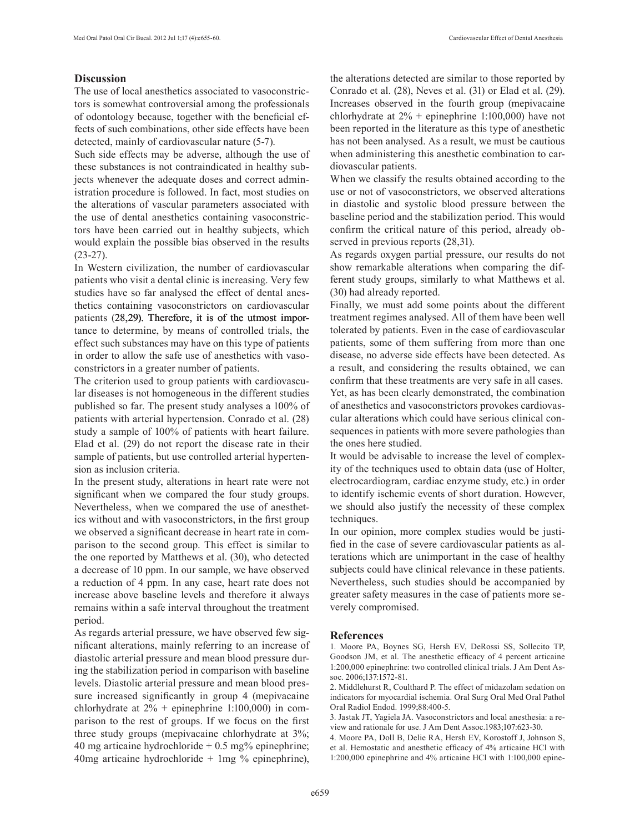# **Discussion**

The use of local anesthetics associated to vasoconstrictors is somewhat controversial among the professionals of odontology because, together with the beneficial effects of such combinations, other side effects have been detected, mainly of cardiovascular nature (5-7).

Such side effects may be adverse, although the use of these substances is not contraindicated in healthy subjects whenever the adequate doses and correct administration procedure is followed. In fact, most studies on the alterations of vascular parameters associated with the use of dental anesthetics containing vasoconstrictors have been carried out in healthy subjects, which would explain the possible bias observed in the results  $(23-27)$ .

In Western civilization, the number of cardiovascular patients who visit a dental clinic is increasing. Very few studies have so far analysed the effect of dental anesthetics containing vasoconstrictors on cardiovascular patients (28,29). Therefore, it is of the utmost importance to determine, by means of controlled trials, the effect such substances may have on this type of patients in order to allow the safe use of anesthetics with vasoconstrictors in a greater number of patients.

The criterion used to group patients with cardiovascular diseases is not homogeneous in the different studies published so far. The present study analyses a 100% of patients with arterial hypertension. Conrado et al. (28) study a sample of 100% of patients with heart failure. Elad et al. (29) do not report the disease rate in their sample of patients, but use controlled arterial hypertension as inclusion criteria.

In the present study, alterations in heart rate were not significant when we compared the four study groups. Nevertheless, when we compared the use of anesthetics without and with vasoconstrictors, in the first group we observed a significant decrease in heart rate in comparison to the second group. This effect is similar to the one reported by Matthews et al. (30), who detected a decrease of 10 ppm. In our sample, we have observed a reduction of 4 ppm. In any case, heart rate does not increase above baseline levels and therefore it always remains within a safe interval throughout the treatment period.

As regards arterial pressure, we have observed few significant alterations, mainly referring to an increase of diastolic arterial pressure and mean blood pressure during the stabilization period in comparison with baseline levels. Diastolic arterial pressure and mean blood pressure increased significantly in group 4 (mepivacaine chlorhydrate at 2% + epinephrine 1:100,000) in comparison to the rest of groups. If we focus on the first three study groups (mepivacaine chlorhydrate at 3%; 40 mg articaine hydrochloride  $+ 0.5$  mg% epinephrine; 40mg articaine hydrochloride + 1mg % epinephrine),

the alterations detected are similar to those reported by Conrado et al. (28), Neves et al. (31) or Elad et al. (29). Increases observed in the fourth group (mepivacaine chlorhydrate at  $2\%$  + epinephrine 1:100,000) have not been reported in the literature as this type of anesthetic has not been analysed. As a result, we must be cautious when administering this anesthetic combination to cardiovascular patients.

When we classify the results obtained according to the use or not of vasoconstrictors, we observed alterations in diastolic and systolic blood pressure between the baseline period and the stabilization period. This would confirm the critical nature of this period, already observed in previous reports (28,31).

As regards oxygen partial pressure, our results do not show remarkable alterations when comparing the different study groups, similarly to what Matthews et al. (30) had already reported.

Finally, we must add some points about the different treatment regimes analysed. All of them have been well tolerated by patients. Even in the case of cardiovascular patients, some of them suffering from more than one disease, no adverse side effects have been detected. As a result, and considering the results obtained, we can confirm that these treatments are very safe in all cases. Yet, as has been clearly demonstrated, the combination of anesthetics and vasoconstrictors provokes cardiovascular alterations which could have serious clinical consequences in patients with more severe pathologies than the ones here studied.

It would be advisable to increase the level of complexity of the techniques used to obtain data (use of Holter, electrocardiogram, cardiac enzyme study, etc.) in order to identify ischemic events of short duration. However, we should also justify the necessity of these complex techniques.

In our opinion, more complex studies would be justified in the case of severe cardiovascular patients as alterations which are unimportant in the case of healthy subjects could have clinical relevance in these patients. Nevertheless, such studies should be accompanied by greater safety measures in the case of patients more severely compromised.

#### **References**

1. Moore PA, Boynes SG, Hersh EV, DeRossi SS, Sollecito TP, Goodson JM, et al. The anesthetic efficacy of 4 percent articaine 1:200,000 epinephrine: two controlled clinical trials. J Am Dent Assoc. 2006;137:1572-81.

2. Middlehurst R, Coulthard P. The effect of midazolam sedation on indicators for myocardial ischemia. Oral Surg Oral Med Oral Pathol Oral Radiol Endod. 1999;88:400-5.

3. Jastak JT, Yagiela JA. Vasoconstrictors and local anesthesia: a review and rationale for use. J Am Dent Assoc.1983;107:623-30.

4. Moore PA, Doll B, Delie RA, Hersh EV, Korostoff J, Johnson S, et al. Hemostatic and anesthetic efficacy of 4% articaine HCl with 1:200,000 epinephrine and 4% articaine HCl with 1:100,000 epine